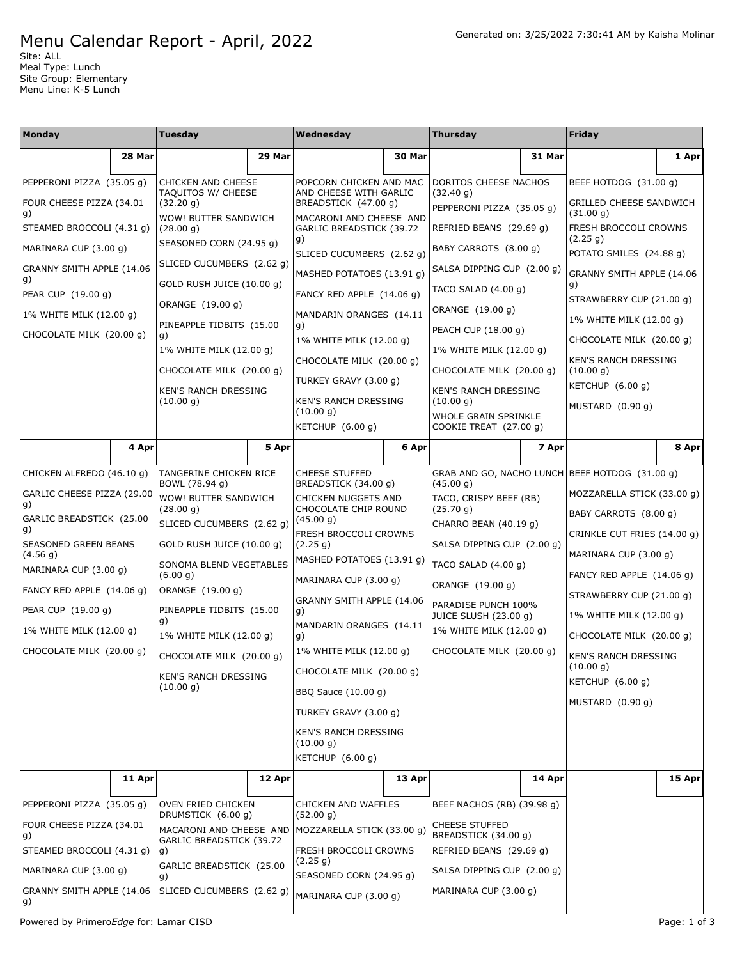## Menu Calendar Report - April, 2022

Site: ALL Meal Type: Lunch Site Group: Elementary Menu Line: K-5 Lunch

| Monday<br>Thursday<br>Tuesday<br>Wednesday                                                                                                                                            | Friday                                              |          |
|---------------------------------------------------------------------------------------------------------------------------------------------------------------------------------------|-----------------------------------------------------|----------|
| 28 Mar<br>29 Mar<br>30 Mar<br>31 Mar                                                                                                                                                  |                                                     | 1 Apr    |
| PEPPERONI PIZZA (35.05 g)<br>DORITOS CHEESE NACHOS<br><b>CHICKEN AND CHEESE</b><br>POPCORN CHICKEN AND MAC<br>TAQUITOS W/ CHEESE<br>AND CHEESE WITH GARLIC<br>(32.40 g)               | BEEF HOTDOG (31.00 g)                               |          |
| FOUR CHEESE PIZZA (34.01<br>(32.20 g)<br>BREADSTICK (47.00 g)<br>PEPPERONI PIZZA (35.05 g)<br>g)<br>WOW! BUTTER SANDWICH<br>MACARONI AND CHEESE AND                                   | <b>GRILLED CHEESE SANDWICH</b><br>(31.00 g)         |          |
| STEAMED BROCCOLI (4.31 g)<br>GARLIC BREADSTICK (39.72<br>(28.00 g)<br>REFRIED BEANS (29.69 g)<br> g)                                                                                  | FRESH BROCCOLI CROWNS<br>(2.25 g)                   |          |
| SEASONED CORN (24.95 g)<br>MARINARA CUP (3.00 g)<br>BABY CARROTS (8.00 g)<br>SLICED CUCUMBERS (2.62 q)                                                                                | POTATO SMILES (24.88 g)                             |          |
| SLICED CUCUMBERS (2.62 g)<br>GRANNY SMITH APPLE (14.06<br>SALSA DIPPING CUP (2.00 g)<br>MASHED POTATOES (13.91 g)<br>g)<br>GOLD RUSH JUICE (10.00 g)                                  | GRANNY SMITH APPLE (14.06<br>g)                     |          |
| TACO SALAD $(4.00 g)$<br>PEAR CUP (19.00 g)<br>FANCY RED APPLE (14.06 g)<br>ORANGE (19.00 g)                                                                                          | STRAWBERRY CUP (21.00 g)                            |          |
| ORANGE (19.00 g)<br>MANDARIN ORANGES (14.11<br>1% WHITE MILK (12.00 g)                                                                                                                | 1% WHITE MILK (12.00 g)                             |          |
| PINEAPPLE TIDBITS (15.00<br> g)<br>PEACH CUP (18.00 g)<br>CHOCOLATE MILK (20.00 g)<br>g)<br>1% WHITE MILK (12.00 g)                                                                   | CHOCOLATE MILK (20.00 g)                            |          |
| 1% WHITE MILK (12.00 g)<br>1% WHITE MILK (12.00 g)<br>CHOCOLATE MILK (20.00 g)                                                                                                        | KEN'S RANCH DRESSING                                |          |
| CHOCOLATE MILK (20.00 q)<br>CHOCOLATE MILK (20.00 g)<br>TURKEY GRAVY (3.00 g)                                                                                                         | (10.00 g)                                           |          |
| <b>KEN'S RANCH DRESSING</b><br>KEN'S RANCH DRESSING<br>(10.00 g)<br>KEN'S RANCH DRESSING<br>(10.00 q)                                                                                 | KETCHUP $(6.00 g)$                                  |          |
| (10.00 g)<br>WHOLE GRAIN SPRINKLE                                                                                                                                                     | MUSTARD (0.90 g)                                    |          |
| KETCHUP (6.00 g)<br>COOKIE TREAT (27.00 g)                                                                                                                                            |                                                     |          |
| 4 Apr<br>5 Apr<br>6 Apr<br>7 Apr                                                                                                                                                      |                                                     | 8 Apr    |
| CHICKEN ALFREDO (46.10 g)<br>TANGERINE CHICKEN RICE<br>GRAB AND GO, NACHO LUNCH BEEF HOTDOG (31.00 g)<br><b>CHEESE STUFFED</b><br>BOWL (78.94 g)<br>BREADSTICK (34.00 g)<br>(45.00 g) |                                                     |          |
| GARLIC CHEESE PIZZA (29.00<br>WOW! BUTTER SANDWICH<br>TACO, CRISPY BEEF (RB)<br>CHICKEN NUGGETS AND<br>g)                                                                             | MOZZARELLA STICK (33.00 g)                          |          |
| CHOCOLATE CHIP ROUND<br>(28.00 g)<br>(25.70 g)<br>GARLIC BREADSTICK (25.00<br>(45.00 g)<br>SLICED CUCUMBERS (2.62 g)<br>CHARRO BEAN (40.19 g)                                         | BABY CARROTS (8.00 g)                               |          |
| g)<br>FRESH BROCCOLI CROWNS<br>SEASONED GREEN BEANS<br>GOLD RUSH JUICE (10.00 g)<br>SALSA DIPPING CUP (2.00 g)<br>(2.25 g)                                                            | CRINKLE CUT FRIES (14.00 g)                         |          |
| (4.56 g)<br>MASHED POTATOES (13.91 g)<br>SONOMA BLEND VEGETABLES<br>TACO SALAD (4.00 g)                                                                                               | MARINARA CUP (3.00 g)                               |          |
| MARINARA CUP (3.00 g)<br>(6.00 g)<br>MARINARA CUP (3.00 g)<br>ORANGE (19.00 g)                                                                                                        | FANCY RED APPLE $(14.06 g)$                         |          |
| FANCY RED APPLE (14.06 g)<br>ORANGE (19.00 g)<br>GRANNY SMITH APPLE (14.06<br>PARADISE PUNCH 100%                                                                                     | STRAWBERRY CUP (21.00 g)<br>1% WHITE MILK (12.00 g) |          |
| PEAR CUP (19.00 g)<br>PINEAPPLE TIDBITS (15.00<br>g)<br>JUICE SLUSH (23.00 g)<br>g)                                                                                                   |                                                     |          |
| MANDARIN ORANGES (14.11<br>1% WHITE MILK (12.00 g)<br>1% WHITE MILK (12.00 g)<br>1% WHITE MILK (12.00 g)<br>g)                                                                        | CHOCOLATE MILK (20.00 g)                            |          |
| CHOCOLATE MILK (20.00 g)<br>1% WHITE MILK (12.00 g)<br>CHOCOLATE MILK (20.00 q)<br>CHOCOLATE MILK (20.00 g)                                                                           | <b>KEN'S RANCH DRESSING</b><br>(10.00 g)            |          |
| CHOCOLATE MILK (20.00 g)<br><b>KEN'S RANCH DRESSING</b><br>(10.00 g)                                                                                                                  | KETCHUP (6.00 g)                                    |          |
| BBQ Sauce (10.00 g)                                                                                                                                                                   | MUSTARD (0.90 g)                                    |          |
| TURKEY GRAVY (3.00 g)<br><b>KEN'S RANCH DRESSING</b>                                                                                                                                  |                                                     |          |
| (10.00 g)<br>KETCHUP $(6.00 q)$                                                                                                                                                       |                                                     |          |
| 12 Apr<br>14 Apr<br>11 Apr<br>13 Apr                                                                                                                                                  |                                                     | $15$ Apr |
|                                                                                                                                                                                       |                                                     |          |
| CHICKEN AND WAFFLES<br>BEEF NACHOS (RB) (39.98 g)<br>PEPPERONI PIZZA (35.05 g)<br>OVEN FRIED CHICKEN<br>DRUMSTICK (6.00 g)<br>(52.00 g)                                               |                                                     |          |
| FOUR CHEESE PIZZA (34.01<br><b>CHEESE STUFFED</b><br>MACARONI AND CHEESE AND<br>MOZZARELLA STICK (33.00 g)<br>BREADSTICK (34.00 g)<br>g)                                              |                                                     |          |
| GARLIC BREADSTICK (39.72<br>STEAMED BROCCOLI (4.31 g)<br>FRESH BROCCOLI CROWNS<br>REFRIED BEANS (29.69 g)<br>g)                                                                       |                                                     |          |
| (2.25 g)<br>GARLIC BREADSTICK (25.00<br>SALSA DIPPING CUP (2.00 g)<br>MARINARA CUP (3.00 g)<br>SEASONED CORN (24.95 g)<br>g)                                                          |                                                     |          |
| GRANNY SMITH APPLE (14.06<br>SLICED CUCUMBERS (2.62 g)<br>MARINARA CUP (3.00 g)<br>MARINARA CUP (3.00 g)<br>g)                                                                        |                                                     |          |

Powered by Primero*Edge* for: Lamar CISD examples a proportion of 3 and 2 and 2 and 2 and 2 and 2 and 2 and 2 and 2 and 2 and 2 and 2 and 2 and 2 and 2 and 2 and 2 and 2 and 2 and 2 and 2 and 2 and 2 and 2 and 2 and 2 and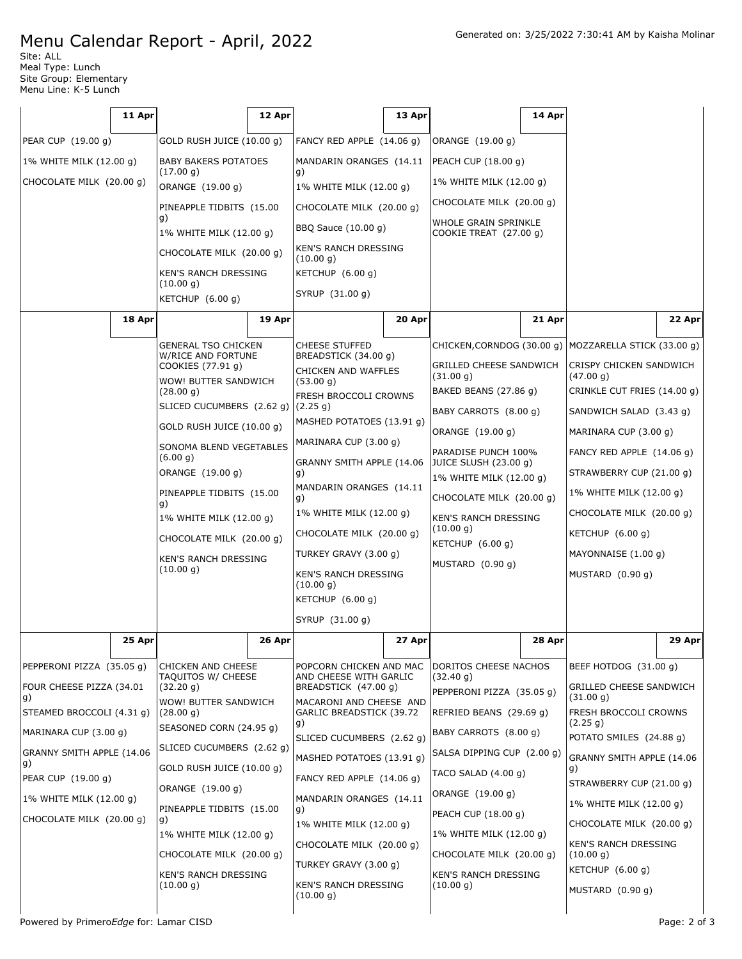## Menu Calendar Report - April, 2022

Site: ALL Meal Type: Lunch Site Group: Elementary Menu Line: K-5 Lunch

|                                 | 11 Apr |                                                 | 12 Apr             |                                                          | 13 Apr |                                                                   | 14 Apr |                                                       |        |
|---------------------------------|--------|-------------------------------------------------|--------------------|----------------------------------------------------------|--------|-------------------------------------------------------------------|--------|-------------------------------------------------------|--------|
| PEAR CUP (19.00 g)              |        | GOLD RUSH JUICE (10.00 g)                       |                    | FANCY RED APPLE (14.06 g)                                |        | ORANGE (19.00 g)                                                  |        |                                                       |        |
| 1% WHITE MILK (12.00 g)         |        | <b>BABY BAKERS POTATOES</b>                     |                    | MANDARIN ORANGES (14.11                                  |        | PEACH CUP (18.00 g)                                               |        |                                                       |        |
| CHOCOLATE MILK (20.00 g)        |        | (17.00 g)<br>ORANGE (19.00 g)                   |                    | g)<br>1% WHITE MILK (12.00 g)                            |        | 1% WHITE MILK (12.00 g)                                           |        |                                                       |        |
|                                 |        | PINEAPPLE TIDBITS (15.00                        |                    | CHOCOLATE MILK (20.00 g)                                 |        | CHOCOLATE MILK (20.00 g)                                          |        |                                                       |        |
|                                 |        | g)<br>1% WHITE MILK (12.00 g)                   |                    | BBQ Sauce (10.00 g)                                      |        | WHOLE GRAIN SPRINKLE<br>COOKIE TREAT (27.00 g)                    |        |                                                       |        |
|                                 |        | CHOCOLATE MILK (20.00 g)                        |                    | KEN'S RANCH DRESSING<br>(10.00 g)                        |        |                                                                   |        |                                                       |        |
|                                 |        | KEN'S RANCH DRESSING                            |                    | KETCHUP (6.00 g)                                         |        |                                                                   |        |                                                       |        |
|                                 |        | (10.00 g)<br>KETCHUP $(6.00 g)$                 |                    | SYRUP (31.00 g)                                          |        |                                                                   |        |                                                       |        |
|                                 | 18 Apr |                                                 | 19 Apr             |                                                          | 20 Apr |                                                                   | 21 Apr |                                                       | 22 Apr |
|                                 |        | <b>GENERAL TSO CHICKEN</b>                      |                    | <b>CHEESE STUFFED</b>                                    |        | CHICKEN, CORNDOG (30.00 g)                                        |        | MOZZARELLA STICK (33.00 g)                            |        |
|                                 |        | W/RICE AND FORTUNE<br>COOKIES (77.91 g)         |                    | BREADSTICK (34.00 g)<br>CHICKEN AND WAFFLES              |        | GRILLED CHEESE SANDWICH                                           |        | CRISPY CHICKEN SANDWICH                               |        |
|                                 |        | WOW! BUTTER SANDWICH<br>(28.00 g)               |                    | (53.00 g)<br>FRESH BROCCOLI CROWNS                       |        | (31.00 g)<br>BAKED BEANS (27.86 g)                                |        | (47.00 g)<br>CRINKLE CUT FRIES (14.00 g)              |        |
|                                 |        | SLICED CUCUMBERS (2.62 g)                       |                    | (2.25 g)                                                 |        | BABY CARROTS (8.00 g)                                             |        | SANDWICH SALAD (3.43 g)                               |        |
|                                 |        | GOLD RUSH JUICE (10.00 g)                       |                    | MASHED POTATOES (13.91 g)                                |        | ORANGE (19.00 g)                                                  |        | MARINARA CUP (3.00 g)                                 |        |
|                                 |        | SONOMA BLEND VEGETABLES<br>(6.00 g)             |                    | MARINARA CUP (3.00 g)<br>GRANNY SMITH APPLE (14.06<br>g) |        | PARADISE PUNCH 100%                                               |        | FANCY RED APPLE (14.06 g)<br>STRAWBERRY CUP (21.00 g) |        |
|                                 |        | ORANGE (19.00 g)                                |                    |                                                          |        | JUICE SLUSH (23.00 g)<br>1% WHITE MILK (12.00 g)                  |        |                                                       |        |
|                                 |        | PINEAPPLE TIDBITS (15.00<br>g)                  |                    | MANDARIN ORANGES (14.11<br>g)                            |        | CHOCOLATE MILK (20.00 g)                                          |        | 1% WHITE MILK (12.00 g)                               |        |
|                                 |        | 1% WHITE MILK (12.00 g)                         |                    | 1% WHITE MILK (12.00 g)                                  |        | KEN'S RANCH DRESSING                                              |        | CHOCOLATE MILK (20.00 g)                              |        |
|                                 |        | CHOCOLATE MILK (20.00 g)                        |                    | CHOCOLATE MILK (20.00 g)                                 |        | (10.00 g)<br>KETCHUP $(6.00 g)$<br>MUSTARD (0.90 g)               |        | KETCHUP $(6.00 g)$                                    |        |
|                                 |        | <b>KEN'S RANCH DRESSING</b>                     |                    | TURKEY GRAVY (3.00 g)                                    |        |                                                                   |        | MAYONNAISE (1.00 g)                                   |        |
|                                 |        | (10.00 g)                                       |                    | KEN'S RANCH DRESSING<br>(10.00 g)                        |        |                                                                   |        | MUSTARD (0.90 g)                                      |        |
|                                 |        |                                                 | KETCHUP $(6.00 g)$ |                                                          |        |                                                                   |        |                                                       |        |
|                                 |        |                                                 |                    | SYRUP (31.00 g)                                          |        |                                                                   |        |                                                       |        |
|                                 | 25 Apr |                                                 | $26$ Apr           |                                                          | 27 Apr |                                                                   | 28 Apr |                                                       | 29 Apr |
| PEPPERONI PIZZA (35.05 g)       |        | <b>CHICKEN AND CHEESE</b><br>TAQUITOS W/ CHEESE |                    | POPCORN CHICKEN AND MAC<br>AND CHEESE WITH GARLIC        |        | DORITOS CHEESE NACHOS<br>(32.40 g)                                |        | BEEF HOTDOG (31.00 g)                                 |        |
| FOUR CHEESE PIZZA (34.01        |        | (32.20 g)                                       |                    | BREADSTICK (47.00 g)                                     |        | GRILLED CHEESE SANDWICH<br>PEPPERONI PIZZA (35.05 g)<br>(31.00 g) |        |                                                       |        |
| g)<br>STEAMED BROCCOLI (4.31 g) |        | WOW! BUTTER SANDWICH<br>(28.00 g)               |                    | MACARONI AND CHEESE AND<br>GARLIC BREADSTICK (39.72      |        | REFRIED BEANS (29.69 g)                                           |        | FRESH BROCCOLI CROWNS                                 |        |
| MARINARA CUP (3.00 g)           |        | SEASONED CORN (24.95 g)                         |                    | g)<br>SLICED CUCUMBERS (2.62 g)                          |        | BABY CARROTS (8.00 g)                                             |        | (2.25 g)<br>POTATO SMILES (24.88 g)                   |        |
| GRANNY SMITH APPLE (14.06       |        | SLICED CUCUMBERS (2.62 g)                       |                    | MASHED POTATOES (13.91 g)                                |        | SALSA DIPPING CUP (2.00 g)                                        |        | GRANNY SMITH APPLE (14.06                             |        |
| g)<br>PEAR CUP (19.00 g)        |        | GOLD RUSH JUICE (10.00 g)                       |                    | FANCY RED APPLE (14.06 g)                                |        | TACO SALAD $(4.00 g)$                                             |        | g)<br>STRAWBERRY CUP (21.00 g)                        |        |
| 1% WHITE MILK (12.00 g)         |        | ORANGE (19.00 g)                                |                    | MANDARIN ORANGES (14.11                                  |        | ORANGE (19.00 g)                                                  |        | 1% WHITE MILK (12.00 g)                               |        |
| CHOCOLATE MILK (20.00 g)        |        | PINEAPPLE TIDBITS (15.00<br>g)                  |                    | g)<br>1% WHITE MILK (12.00 g)                            |        | PEACH CUP (18.00 g)                                               |        | CHOCOLATE MILK (20.00 g)                              |        |
|                                 |        | 1% WHITE MILK (12.00 g)                         |                    | CHOCOLATE MILK (20.00 g)                                 |        | 1% WHITE MILK (12.00 g)                                           |        | KEN'S RANCH DRESSING                                  |        |
|                                 |        | CHOCOLATE MILK (20.00 g)                        |                    | TURKEY GRAVY (3.00 g)                                    |        | CHOCOLATE MILK (20.00 g)                                          |        | (10.00 g)<br>KETCHUP (6.00 g)                         |        |
|                                 |        | <b>KEN'S RANCH DRESSING</b><br>(10.00 g)        |                    | KEN'S RANCH DRESSING<br>(10.00 g)                        |        | <b>KEN'S RANCH DRESSING</b><br>(10.00 g)                          |        | MUSTARD $(0.90 g)$                                    |        |

 $\overline{\phantom{a}}$